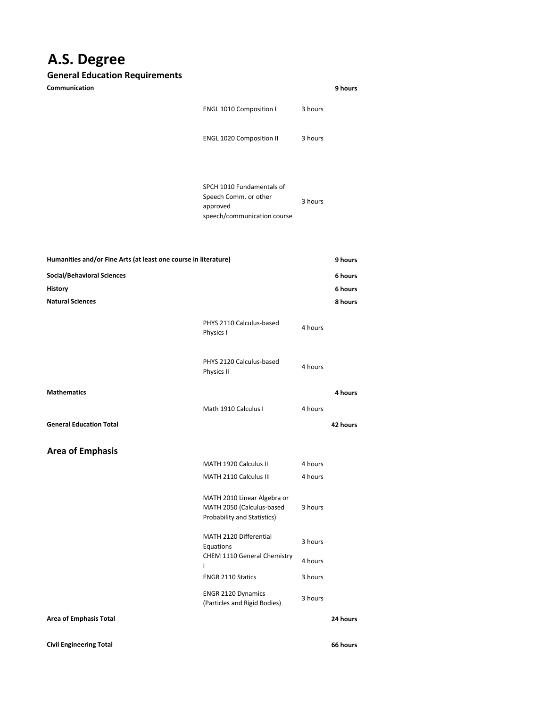## **A.S. Degree**

## **General Education Requirements**

| Communication                                                   |                                                                                               |         | 9 hours            |
|-----------------------------------------------------------------|-----------------------------------------------------------------------------------------------|---------|--------------------|
|                                                                 | <b>ENGL 1010 Composition I</b>                                                                | 3 hours |                    |
|                                                                 | <b>ENGL 1020 Composition II</b>                                                               | 3 hours |                    |
|                                                                 | SPCH 1010 Fundamentals of<br>Speech Comm. or other<br>approved<br>speech/communication course | 3 hours |                    |
| Humanities and/or Fine Arts (at least one course in literature) |                                                                                               |         | 9 hours            |
| <b>Social/Behavioral Sciences</b>                               |                                                                                               |         | 6 hours            |
| <b>History</b><br><b>Natural Sciences</b>                       |                                                                                               |         | 6 hours<br>8 hours |
|                                                                 | PHYS 2110 Calculus-based<br>Physics I                                                         | 4 hours |                    |
|                                                                 | PHYS 2120 Calculus-based<br>Physics II                                                        | 4 hours |                    |
| <b>Mathematics</b>                                              |                                                                                               |         | 4 hours            |
|                                                                 | Math 1910 Calculus I                                                                          | 4 hours |                    |
| <b>General Education Total</b>                                  |                                                                                               |         | 42 hours           |
| <b>Area of Emphasis</b>                                         |                                                                                               |         |                    |
|                                                                 | MATH 1920 Calculus II                                                                         | 4 hours |                    |
|                                                                 | MATH 2110 Calculus III                                                                        | 4 hours |                    |
|                                                                 | MATH 2010 Linear Algebra or<br>MATH 2050 (Calculus-based<br>Probability and Statistics)       | 3 hours |                    |
|                                                                 | MATH 2120 Differential<br>Equations                                                           | 3 hours |                    |
|                                                                 | <b>CHEM 1110 General Chemistry</b><br>L                                                       | 4 hours |                    |
|                                                                 | <b>ENGR 2110 Statics</b>                                                                      | 3 hours |                    |
|                                                                 | <b>ENGR 2120 Dynamics</b><br>(Particles and Rigid Bodies)                                     | 3 hours |                    |
| <b>Area of Emphasis Total</b>                                   |                                                                                               |         | 24 hours           |

**Civil Engineering Total**

**66 hours**